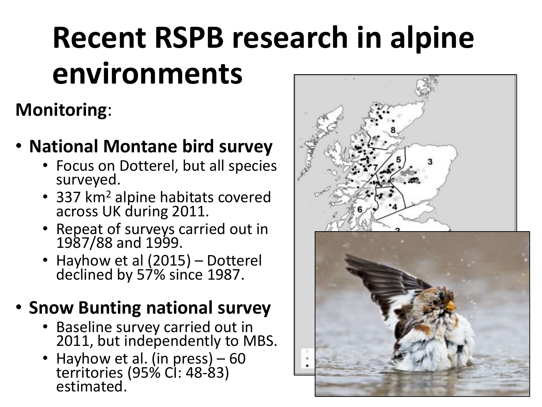# **Recent RSPB research in alpine environments**

## **Monitoring**:

### • **National Montane bird survey**

- Focus on Dotterel, but all species surveyed.
- 337 km<sup>2</sup> alpine habitats covered across UK during 2011.
- Repeat of surveys carried out in 1987/88 and 1999.
- Hayhow et al (2015) Dotterel declined by 57% since 1987.

### • **Snow Bunting national survey**

- Baseline survey carried out in 2011, but independently to MBS.
- Hayhow et al. (in press) 60 territories (95% CI: 48-83) estimated.



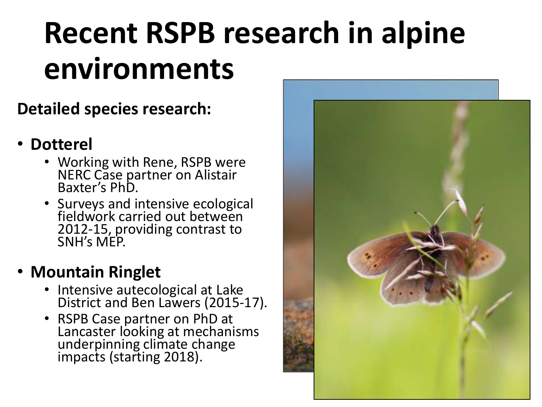# **Recent RSPB research in alpine environments**

#### **Detailed species research:**

#### • **Dotterel**

- Working with Rene, RSPB were NERC Case partner on Alistair Baxter's PhD.
- Surveys and intensive ecological fieldwork carried out between 2012-15, providing contrast to SNH's MEP.

### • **Mountain Ringlet**

- Intensive autecological at Lake District and Ben Lawers (2015-17).
- RSPB Case partner on PhD at Lancaster looking at mechanisms underpinning climate change impacts (starting 2018).